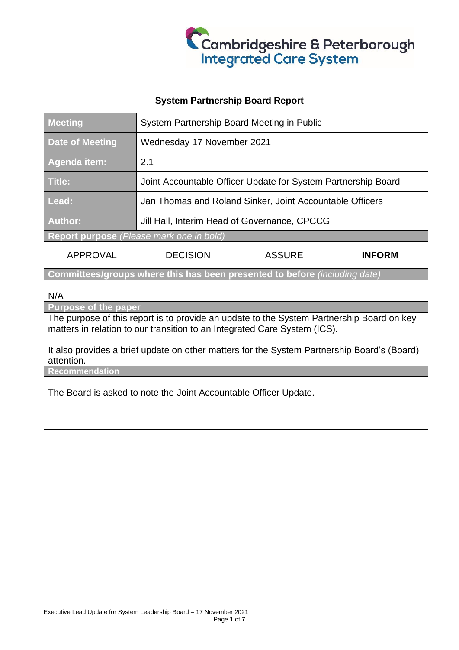

## **System Partnership Board Report**

| <b>Meeting</b>                                                                                            | System Partnership Board Meeting in Public                    |               |               |
|-----------------------------------------------------------------------------------------------------------|---------------------------------------------------------------|---------------|---------------|
| <b>Date of Meeting</b>                                                                                    | Wednesday 17 November 2021                                    |               |               |
| <b>Agenda item:</b>                                                                                       | 2.1                                                           |               |               |
| <b>Title:</b>                                                                                             | Joint Accountable Officer Update for System Partnership Board |               |               |
| Lead:                                                                                                     | Jan Thomas and Roland Sinker, Joint Accountable Officers      |               |               |
| <b>Author:</b>                                                                                            | Jill Hall, Interim Head of Governance, CPCCG                  |               |               |
| Report purpose (Please mark one in bold)                                                                  |                                                               |               |               |
| <b>APPROVAL</b>                                                                                           | <b>DECISION</b>                                               | <b>ASSURE</b> | <b>INFORM</b> |
| Committees/groups where this has been presented to before (including date)                                |                                                               |               |               |
| N/A                                                                                                       |                                                               |               |               |
| <b>Purpose of the paper</b>                                                                               |                                                               |               |               |
| The purpose of this report is to provide an update to the System Partnership Board on key                 |                                                               |               |               |
| matters in relation to our transition to an Integrated Care System (ICS).                                 |                                                               |               |               |
| It also provides a brief update on other matters for the System Partnership Board's (Board)<br>attention. |                                                               |               |               |
| <b>Recommendation</b>                                                                                     |                                                               |               |               |
| The Board is asked to note the Joint Accountable Officer Update.                                          |                                                               |               |               |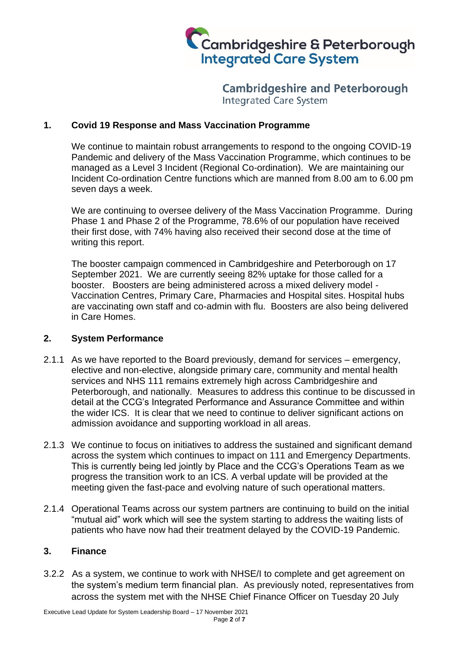

**Cambridgeshire and Peterborough Integrated Care System** 

#### **1. Covid 19 Response and Mass Vaccination Programme**

We continue to maintain robust arrangements to respond to the ongoing COVID-19 Pandemic and delivery of the Mass Vaccination Programme, which continues to be managed as a Level 3 Incident (Regional Co-ordination). We are maintaining our Incident Co-ordination Centre functions which are manned from 8.00 am to 6.00 pm seven days a week.

We are continuing to oversee delivery of the Mass Vaccination Programme. During Phase 1 and Phase 2 of the Programme, 78.6% of our population have received their first dose, with 74% having also received their second dose at the time of writing this report.

The booster campaign commenced in Cambridgeshire and Peterborough on 17 September 2021. We are currently seeing 82% uptake for those called for a booster. Boosters are being administered across a mixed delivery model - Vaccination Centres, Primary Care, Pharmacies and Hospital sites. Hospital hubs are vaccinating own staff and co-admin with flu. Boosters are also being delivered in Care Homes.

#### **2. System Performance**

- 2.1.1 As we have reported to the Board previously, demand for services emergency, elective and non-elective, alongside primary care, community and mental health services and NHS 111 remains extremely high across Cambridgeshire and Peterborough, and nationally. Measures to address this continue to be discussed in detail at the CCG's Integrated Performance and Assurance Committee and within the wider ICS. It is clear that we need to continue to deliver significant actions on admission avoidance and supporting workload in all areas.
- 2.1.3 We continue to focus on initiatives to address the sustained and significant demand across the system which continues to impact on 111 and Emergency Departments. This is currently being led jointly by Place and the CCG's Operations Team as we progress the transition work to an ICS. A verbal update will be provided at the meeting given the fast-pace and evolving nature of such operational matters.
- 2.1.4 Operational Teams across our system partners are continuing to build on the initial "mutual aid" work which will see the system starting to address the waiting lists of patients who have now had their treatment delayed by the COVID-19 Pandemic.

#### **3. Finance**

3.2.2 As a system, we continue to work with NHSE/I to complete and get agreement on the system's medium term financial plan. As previously noted, representatives from across the system met with the NHSE Chief Finance Officer on Tuesday 20 July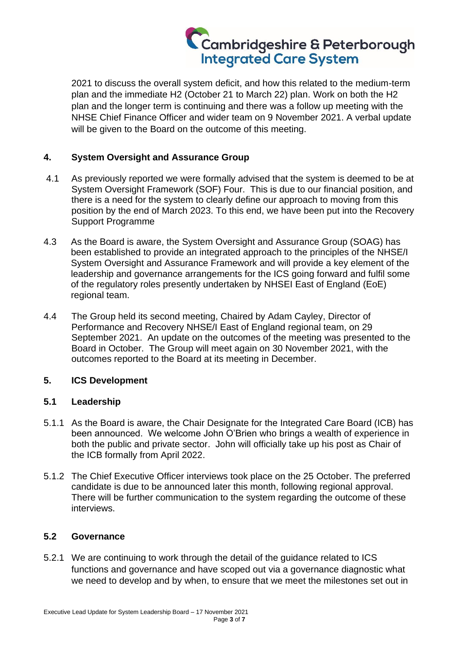# Cambridgeshire & Peterborough<br>Integrated Care System

2021 to discuss the overall system deficit, and how this related to the medium-term plan and the immediate H2 (October 21 to March 22) plan. Work on both the H2 plan and the longer term is continuing and there was a follow up meeting with the NHSE Chief Finance Officer and wider team on 9 November 2021. A verbal update will be given to the Board on the outcome of this meeting.

## **4. System Oversight and Assurance Group**

- 4.1 As previously reported we were formally advised that the system is deemed to be at System Oversight Framework (SOF) Four. This is due to our financial position, and there is a need for the system to clearly define our approach to moving from this position by the end of March 2023. To this end, we have been put into the Recovery Support Programme
- 4.3 As the Board is aware, the System Oversight and Assurance Group (SOAG) has been established to provide an integrated approach to the principles of the NHSE/I System Oversight and Assurance Framework and will provide a key element of the leadership and governance arrangements for the ICS going forward and fulfil some of the regulatory roles presently undertaken by NHSEI East of England (EoE) regional team.
- 4.4 The Group held its second meeting, Chaired by Adam Cayley, Director of Performance and Recovery NHSE/I East of England regional team, on 29 September 2021. An update on the outcomes of the meeting was presented to the Board in October. The Group will meet again on 30 November 2021, with the outcomes reported to the Board at its meeting in December.

## **5. ICS Development**

#### **5.1 Leadership**

- 5.1.1 As the Board is aware, the Chair Designate for the Integrated Care Board (ICB) has been announced. We welcome John O'Brien who brings a wealth of experience in both the public and private sector. John will officially take up his post as Chair of the ICB formally from April 2022.
- 5.1.2 The Chief Executive Officer interviews took place on the 25 October. The preferred candidate is due to be announced later this month, following regional approval. There will be further communication to the system regarding the outcome of these interviews.

#### **5.2 Governance**

5.2.1 We are continuing to work through the detail of the guidance related to ICS functions and governance and have scoped out via a governance diagnostic what we need to develop and by when, to ensure that we meet the milestones set out in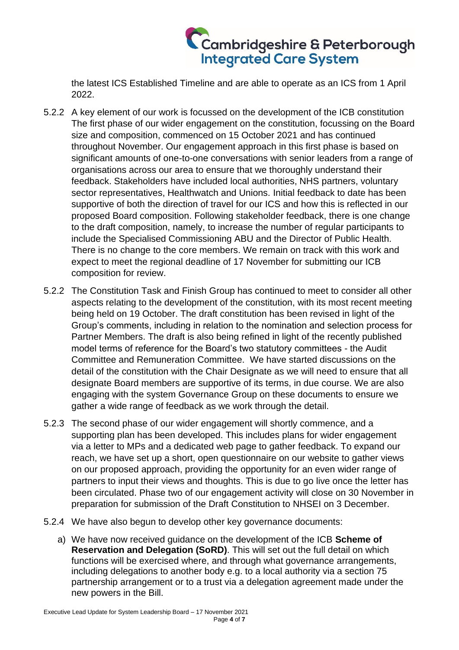

the latest ICS Established Timeline and are able to operate as an ICS from 1 April 2022.

- 5.2.2 A key element of our work is focussed on the development of the ICB constitution The first phase of our wider engagement on the constitution, focussing on the Board size and composition, commenced on 15 October 2021 and has continued throughout November. Our engagement approach in this first phase is based on significant amounts of one-to-one conversations with senior leaders from a range of organisations across our area to ensure that we thoroughly understand their feedback. Stakeholders have included local authorities, NHS partners, voluntary sector representatives, Healthwatch and Unions. Initial feedback to date has been supportive of both the direction of travel for our ICS and how this is reflected in our proposed Board composition. Following stakeholder feedback, there is one change to the draft composition, namely, to increase the number of regular participants to include the Specialised Commissioning ABU and the Director of Public Health. There is no change to the core members. We remain on track with this work and expect to meet the regional deadline of 17 November for submitting our ICB composition for review.
- 5.2.2 The Constitution Task and Finish Group has continued to meet to consider all other aspects relating to the development of the constitution, with its most recent meeting being held on 19 October. The draft constitution has been revised in light of the Group's comments, including in relation to the nomination and selection process for Partner Members. The draft is also being refined in light of the recently published model terms of reference for the Board's two statutory committees - the Audit Committee and Remuneration Committee. We have started discussions on the detail of the constitution with the Chair Designate as we will need to ensure that all designate Board members are supportive of its terms, in due course. We are also engaging with the system Governance Group on these documents to ensure we gather a wide range of feedback as we work through the detail.
- 5.2.3 The second phase of our wider engagement will shortly commence, and a supporting plan has been developed. This includes plans for wider engagement via a letter to MPs and a dedicated web page to gather feedback. To expand our reach, we have set up a short, open questionnaire on our website to gather views on our proposed approach, providing the opportunity for an even wider range of partners to input their views and thoughts. This is due to go live once the letter has been circulated. Phase two of our engagement activity will close on 30 November in preparation for submission of the Draft Constitution to NHSEI on 3 December.
- 5.2.4 We have also begun to develop other key governance documents:
	- a) We have now received guidance on the development of the ICB **Scheme of Reservation and Delegation (SoRD)**. This will set out the full detail on which functions will be exercised where, and through what governance arrangements, including delegations to another body e.g. to a local authority via a section 75 partnership arrangement or to a trust via a delegation agreement made under the new powers in the Bill.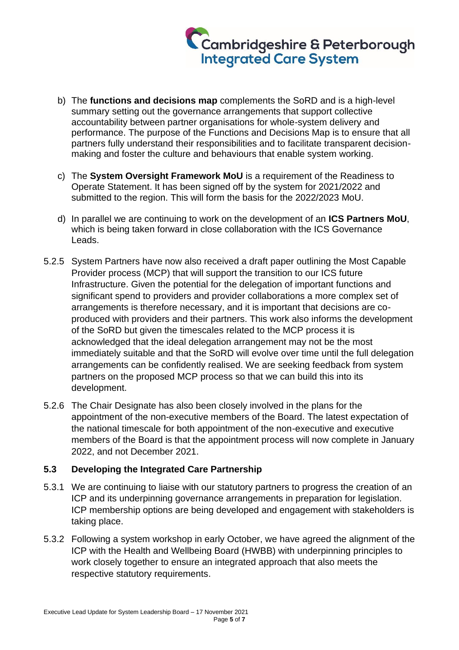

- b) The **functions and decisions map** complements the SoRD and is a high-level summary setting out the governance arrangements that support collective accountability between partner organisations for whole-system delivery and performance. The purpose of the Functions and Decisions Map is to ensure that all partners fully understand their responsibilities and to facilitate transparent decisionmaking and foster the culture and behaviours that enable system working.
- c) The **System Oversight Framework MoU** is a requirement of the Readiness to Operate Statement. It has been signed off by the system for 2021/2022 and submitted to the region. This will form the basis for the 2022/2023 MoU.
- d) In parallel we are continuing to work on the development of an **ICS Partners MoU**, which is being taken forward in close collaboration with the ICS Governance Leads.
- 5.2.5 System Partners have now also received a draft paper outlining the Most Capable Provider process (MCP) that will support the transition to our ICS future Infrastructure. Given the potential for the delegation of important functions and significant spend to providers and provider collaborations a more complex set of arrangements is therefore necessary, and it is important that decisions are coproduced with providers and their partners. This work also informs the development of the SoRD but given the timescales related to the MCP process it is acknowledged that the ideal delegation arrangement may not be the most immediately suitable and that the SoRD will evolve over time until the full delegation arrangements can be confidently realised. We are seeking feedback from system partners on the proposed MCP process so that we can build this into its development.
- 5.2.6 The Chair Designate has also been closely involved in the plans for the appointment of the non-executive members of the Board. The latest expectation of the national timescale for both appointment of the non-executive and executive members of the Board is that the appointment process will now complete in January 2022, and not December 2021.

## **5.3 Developing the Integrated Care Partnership**

- 5.3.1 We are continuing to liaise with our statutory partners to progress the creation of an ICP and its underpinning governance arrangements in preparation for legislation. ICP membership options are being developed and engagement with stakeholders is taking place.
- 5.3.2 Following a system workshop in early October, we have agreed the alignment of the ICP with the Health and Wellbeing Board (HWBB) with underpinning principles to work closely together to ensure an integrated approach that also meets the respective statutory requirements.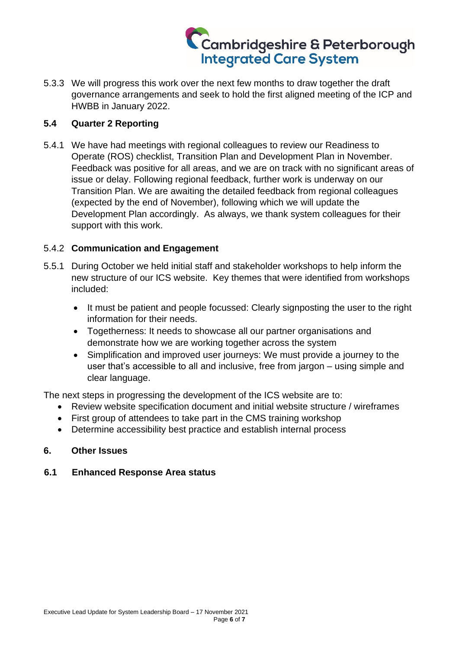# Cambridgeshire & Peterborough<br>Integrated Care System

5.3.3 We will progress this work over the next few months to draw together the draft governance arrangements and seek to hold the first aligned meeting of the ICP and HWBB in January 2022.

### **5.4 Quarter 2 Reporting**

5.4.1 We have had meetings with regional colleagues to review our Readiness to Operate (ROS) checklist, Transition Plan and Development Plan in November. Feedback was positive for all areas, and we are on track with no significant areas of issue or delay. Following regional feedback, further work is underway on our Transition Plan. We are awaiting the detailed feedback from regional colleagues (expected by the end of November), following which we will update the Development Plan accordingly. As always, we thank system colleagues for their support with this work.

### 5.4.2 **Communication and Engagement**

- 5.5.1 During October we held initial staff and stakeholder workshops to help inform the new structure of our ICS website. Key themes that were identified from workshops included:
	- It must be patient and people focussed: Clearly signposting the user to the right information for their needs.
	- Togetherness: It needs to showcase all our partner organisations and demonstrate how we are working together across the system
	- Simplification and improved user journeys: We must provide a journey to the user that's accessible to all and inclusive, free from jargon – using simple and clear language.

The next steps in progressing the development of the ICS website are to:

- Review website specification document and initial website structure / wireframes
- First group of attendees to take part in the CMS training workshop
- Determine accessibility best practice and establish internal process

#### **6. Other Issues**

#### **6.1 Enhanced Response Area status**